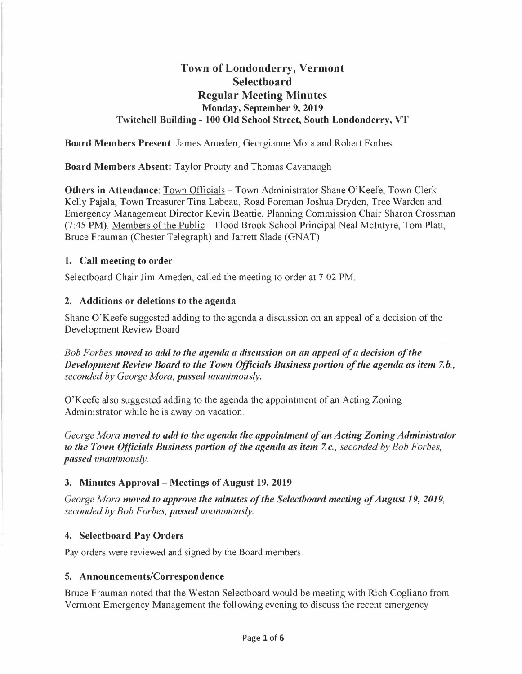# **Town of Londonderry, Vermont Selectboard Regular Meeting Minutes Monday, September 9, 2019 Twitchell Building - 100 Old School Street, South Londonderry, VT**

**Board Members Present:** James Ameden, Georgianne Mora and Robert Forbes.

**Board Members Absent:** Taylor Prouty and Thomas Cavanaugh

**Others in Attendance: Town Officials - Town Administrator Shane O'Keefe, Town Clerk** Kelly Pajala, Town Treasurer Tina Labeau, Road Foreman Joshua Dryden, Tree Warden and Emergency Management Director Kevin Beattie, Planning Commission Chair Sharon Crossman (7:45 PM). Members of the Public - Flood Brook School Principal Neal McIntyre, Tom Platt, Bruce Frauman (Chester Telegraph) and Jarrett Slade (GNAT)

### **1. Call meeting to order**

Selectboard Chair Jim Ameden, called the meeting to order at 7:02 PM.

#### **2. Additions or deletions to the agenda**

Shane O'Keefe suggested adding to the agenda a discussion on an appeal of a decision of the Development Review Board

*Bob Forbes moved to add to the agenda a discussion on an appeal of a decision of the Development Review Board to the Town Officials Business portion of the agenda as item 7.b., seconded by George Mora, passed unanimously.* 

O'Keefe also suggested adding to the agenda the appointment of an Acting Zoning Administrator while he is away on vacation.

*George Mora moved to add to the agenda the appointment of an Acting Zoning Administrator to the Town Officials Business portion of the agenda as item 7.c., seconded by Bob Forbes, passed unanimously.* 

### **3. Minutes Approval - Meetings of August 19, 2019**

*George Mora moved to approve the minutes of the Selectboard meeting of August 19, 2019, seconded by Bob For bes, passed unanimously.* 

### **4. Selectboard Pay Orders**

Pay orders were reviewed and signed by the Board members.

### **5. Announcements/Correspondence**

Bruce Frauman noted that the Weston Selectboard would be meeting with Rich Cogliano from Vermont Emergency Management the following evening to discuss the recent emergency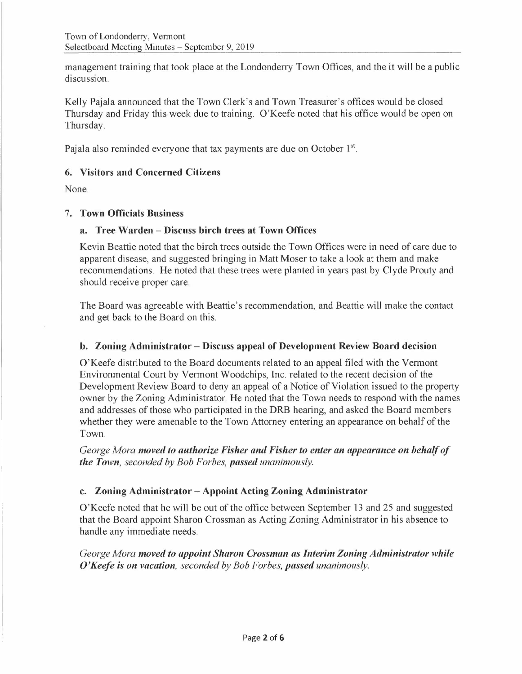management training that took place at the Londonderry Town Offices, and the it will be a public discussion.

Kelly Pajala announced that the Town Clerk's and Town Treasurer's offices would be closed Thursday and Friday this week due to training. O'Keefe noted that his office would be open on Thursday.

Pajala also reminded everyone that tax payments are due on October 1<sup>st</sup>.

# **6. Visitors and Concerned Citizens**

None.

### 7. **Town Officials Business**

#### **a. Tree Warden - Discuss birch trees at Town Offices**

Kevin Beattie noted that the birch trees outside the Town Offices were in need of care due to apparent disease, and suggested bringing in Matt Moser to take a look at them and make recommendations. He noted that these trees were planted in years past by Clyde Prouty and should receive proper care.

The Board was agreeable with Beattie's recommendation, and Beattie will make the contact and get back to the Board on this.

### **b. Zoning Administrator - Discuss appeal of Development Review Board decision**

O'Keefe distributed to the Board documents related to an appeal filed with the Vermont Environmental Court by Vermont Woodchips, Inc. related to the recent decision of the Development Review Board to deny an appeal of a Notice of Violation issued to the property owner by the Zoning Administrator. He noted that the Town needs to respond with the names and addresses of those who participated in the **DRB** hearing, and asked the Board members whether they were amenable to the Town Attorney entering an appearance on behalf of the Town.

*George Mora moved to authorize Fisher and Fisher to enter an appearance on behalf of the Town, seconded by Bob Forbes, passed unanimously.* 

### **c. Zoning Administrator - Appoint Acting Zoning Administrator**

O'Keefe noted that he will be out of the office between September 13 and 25 and suggested that the Board appoint Sharon Crossman as Acting Zoning Administrator in his absence to handle any immediate needs.

*George Mora moved to appoint Sharon Crossman as Interim Zoning Administrator while O'Keefe is on vacation, seconded by Bob Forbes, passed unanimously.*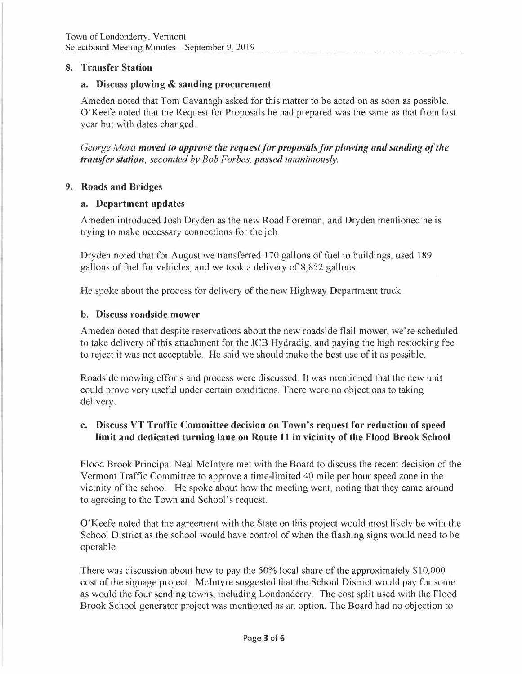### **8. Transfer Station**

#### **a. Discuss plowing** & **sanding procurement**

Ameden noted that Tom Cavanagh asked for this matter to be acted on as soon as possible. O'Keefe noted that the Request for Proposals he had prepared was the same as that from last year but with dates changed.

*George Mora moved to approve the request for proposals for plowing and sanding of the transfer station, seconded by Bob Forbes, passed unanimously.* 

#### **9. Roads and Bridges**

#### **a. Department updates**

Ameden introduced Josh Dryden as the new Road Foreman, and Dryden mentioned he is trying to make necessary connections for the job.

Dryden noted that for August we transferred 170 gallons of fuel to buildings, used 189 gallons of fuel for vehicles, and we took a delivery of 8,852 gallons.

He spoke about the process for delivery of the new Highway Department truck.

#### **b. Discuss roadside mower**

Ameden noted that despite reservations about the new roadside flail mower, we're scheduled to take delivery of this attachment for the JCB Hydradig, and paying the high restocking fee to reject it was not acceptable. He said we should make the best use of it as possible.

Roadside mowing efforts and process were discussed. It was mentioned that the new unit could prove very useful under certain conditions. There were no objections to taking delivery.

# **c. Discuss VT Traffic Committee decision on Town's request for reduction of speed limit and dedicated turning lane on Route 11 in vicinity of the Flood Brook School**

Flood Brook Principal Neal McIntyre met with the Board to discuss the recent decision of the Vermont Traffic Committee to approve a time-limited 40 mile per hour speed zone in the vicinity of the school. He spoke about how the meeting went, noting that they came around to agreeing to the Town and School's request.

O'Keefe noted that the agreement with the State on this project would most likely be with the School District as the school would have control of when the flashing signs would need to be operable.

There was discussion about how to pay the 50% local share of the approximately \$10,000 cost of the signage project. McIntyre suggested that the School District would pay for some as would the four sending towns, including Londonderry. The cost split used with the Flood Brook School generator project was mentioned as an option. The Board had no objection to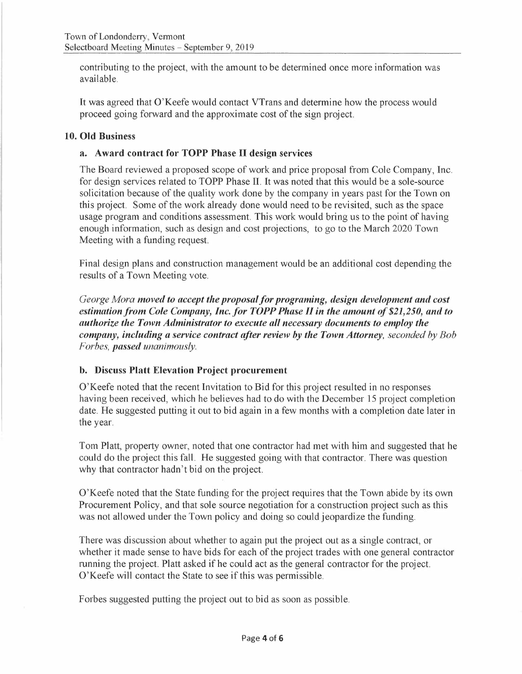contributing to the project, with the amount to be determined once more information was available.

It was agreed that O'Keefe would contact VTrans and determine how the process would proceed going forward and the approximate cost of the sign project.

#### **10. Old Business**

#### **a. Award contract for TOPP Phase** II **design services**

The Board reviewed a proposed scope of work and price proposal from Cole Company, Inc. for design services related to TOPP Phase II. It was noted that this would be a sole-source solicitation because of the quality work done by the company in years past for the Town on this project. Some of the work already done would need to be revisited, such as the space usage program and conditions assessment. This work would bring us to the point of having enough information, such as design and cost projections, to go to the March 2020 Town Meeting with a funding request.

Final design plans and construction management would be an additional cost depending the results of a Town Meeting vote.

*George Mora moved to accept the proposal for programing, design development and cost estimation from Cole Company, Inc. for TOPP Phase II in the amount of \$21,250, and to authorize the Town Administrator to execute all necessary documents to employ the company, including a service contract after review by the Town Attorney, seconded by Bob Forbes, passed unanimously.* 

#### **b. Discuss Platt Elevation Project procurement**

O'Keefe noted that the recent Invitation to Bid for this project resulted in no responses having been received, which he believes had to do with the December 15 project completion date. He suggested putting it out to bid again in a few months with a completion date later in the year.

Tom Platt, property owner, noted that one contractor had met with him and suggested that he could do the project this fall. He suggested going with that contractor. There was question why that contractor hadn't bid on the project.

O'Keefe noted that the State funding for the project requires that the Town abide by its own Procurement Policy, and that sole source negotiation for a construction project such as this was not allowed under the Town policy and doing so could jeopardize the funding.

There was discussion about whether to again put the project out as a single contract, or whether it made sense to have bids for each of the project trades with one general contractor running the project. Platt asked if he could act as the general contractor for the project. O'Keefe will contact the State to see if this was permissible.

Forbes suggested putting the project out to bid as soon as possible.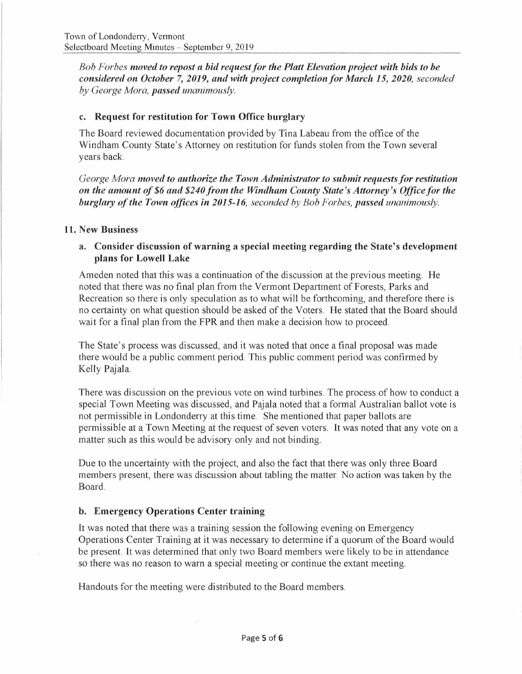*Bob Forbes moved to repost a bid requestfor the Platt Elevation project with bids to be considered on October* 7, *2019, and with project completion for March 15, 2020, seconded by George Mora, passed unanimously.* 

#### **c. Request for restitution for Town Office burglary**

The Board reviewed documentation provided by Tina Labeau from the office of the Windham County State's Attorney on restitution for funds stolen from the Town several years back.

*George Mora moved to authorize the Town Administrator to submit requests for restitution on the amount of \$6 and \$240.from the Windham County State's Attorney's Officefor the burglary of the Town offices in 2015-16, seconded by Bob Forbes, passed unanimously.* 

#### **11. New Business**

### **a. Consider discussion of warning a special meeting regarding the State's development plans for Lowell Lake**

Am eden noted that this was a continuation of the discussion at the previous meeting. He noted that there was no final plan from the Vermont Department of Forests, Parks and Recreation so there is only speculation as to what will be forthcoming, and therefore there is no certainty on what question should be asked of the Voters. He stated that the Board should wait for a final plan from the FPR and then make a decision how to proceed.

The State's process was discussed, and it was noted that once a final proposal was made there would be a public comment period. This public comment period was confirmed by Kelly Pajala.

There was discussion on the previous vote on wind turbines. The process of how to conduct a special Town Meeting was discussed, and Pajala noted that a formal Australian ballot vote is not permissible in Londonderry at this time. She mentioned that paper ballots are permissible at a Town Meeting at the request of seven voters. It was noted that any vote on a matter such as this would be advisory only and not binding.

Due to the uncertainty with the project, and also the fact that there was only three Board members present, there was discussion about tabling the matter. No action was taken by the Board.

### **b. Emergency Operations Center training**

It was noted that there was a training session the following evening on Emergency Operations Center Training at it was necessary to determine if a quorum of the Board would be present. It was determined that only two Board members were likely to be in attendance so there was no reason to warn a special meeting or continue the extant meeting.

Handouts for the meeting were distributed to the Board members.